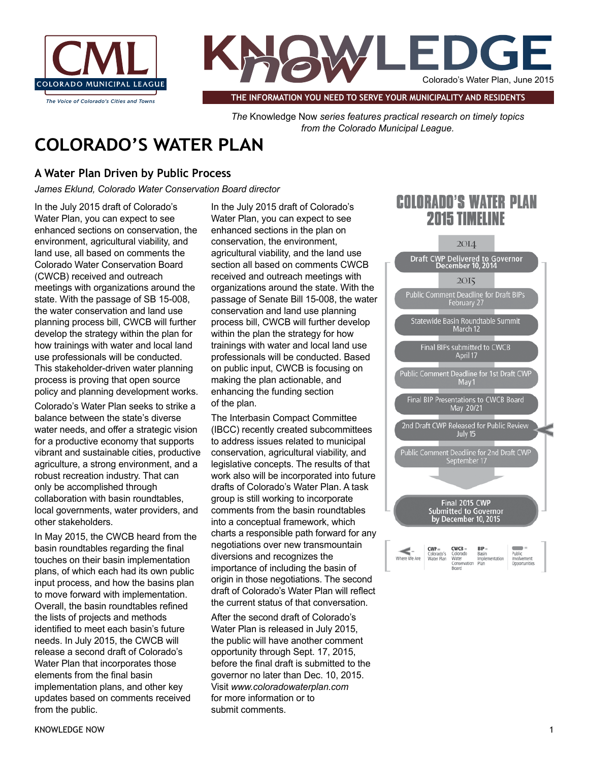



*The Voice of Colorado's Cities and Towns* **THE INFORMATION YOU NEED TO SERVE YOUR MUNICIPALITY AND RESIDENTS**

*The* Knowledge Now *series features practical research on timely topics from the Colorado Municipal League.* 

# **COLORADO'S WATER PLAN**

## **A Water Plan Driven by Public Process**

*James Eklund, Colorado Water Conservation Board director*

In the July 2015 draft of Colorado's Water Plan, you can expect to see enhanced sections on conservation, the environment, agricultural viability, and land use, all based on comments the Colorado Water Conservation Board (CWCB) received and outreach meetings with organizations around the state. With the passage of SB 15-008, the water conservation and land use planning process bill, CWCB will further develop the strategy within the plan for how trainings with water and local land use professionals will be conducted. This stakeholder-driven water planning process is proving that open source policy and planning development works.

Colorado's Water Plan seeks to strike a balance between the state's diverse water needs, and offer a strategic vision for a productive economy that supports vibrant and sustainable cities, productive agriculture, a strong environment, and a robust recreation industry. That can only be accomplished through collaboration with basin roundtables, local governments, water providers, and other stakeholders.

In May 2015, the CWCB heard from the basin roundtables regarding the final touches on their basin implementation plans, of which each had its own public input process, and how the basins plan to move forward with implementation. Overall, the basin roundtables refined the lists of projects and methods identified to meet each basin's future needs. In July 2015, the CWCB will release a second draft of Colorado's Water Plan that incorporates those elements from the final basin implementation plans, and other key updates based on comments received from the public.

In the July 2015 draft of Colorado's Water Plan, you can expect to see enhanced sections in the plan on conservation, the environment, agricultural viability, and the land use section all based on comments CWCB received and outreach meetings with organizations around the state. With the passage of Senate Bill 15-008, the water conservation and land use planning process bill, CWCB will further develop within the plan the strategy for how trainings with water and local land use professionals will be conducted. Based on public input, CWCB is focusing on making the plan actionable, and enhancing the funding section of the plan.

The Interbasin Compact Committee (IBCC) recently created subcommittees to address issues related to municipal conservation, agricultural viability, and legislative concepts. The results of that work also will be incorporated into future drafts of Colorado's Water Plan. A task group is still working to incorporate comments from the basin roundtables into a conceptual framework, which charts a responsible path forward for any negotiations over new transmountain diversions and recognizes the importance of including the basin of origin in those negotiations. The second draft of Colorado's Water Plan will reflect the current status of that conversation.

After the second draft of Colorado's Water Plan is released in July 2015, the public will have another comment opportunity through Sept. 17, 2015, before the final draft is submitted to the governor no later than Dec. 10, 2015. Visit *www.coloradowaterplan.com*  for more information or to submit comments.

## **COLORADO'S WATER PLAN 2015 TIMELINE**



| KNOWLEDGE NOW |  |  |
|---------------|--|--|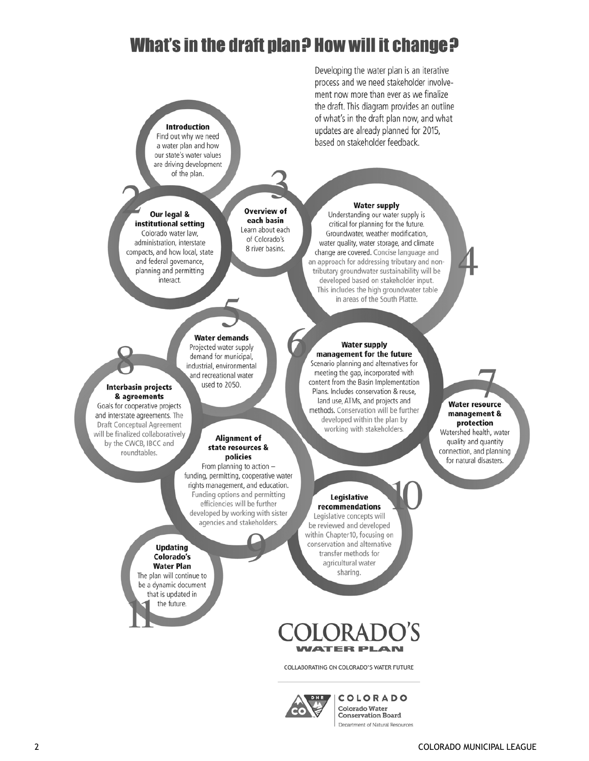# What's in the draft plan? How will it change?

## **Introduction** Find out why we need a water plan and how

our state's water values are driving development of the plan.

#### Our legal & institutional setting

Colorado water law, administration, interstate compacts, and how local, state and federal governance, planning and permitting interact.

### **Overview of** each basin Learn about each of Colorado's 8 river basins.

the draft. This diagram provides an outline of what's in the draft plan now, and what updates are already planned for 2015, based on stakeholder feedback.

Developing the water plan is an iterative process and we need stakeholder involvement now more than ever as we finalize

### **Water supply**

Understanding our water supply is critical for planning for the future. Groundwater, weather modification, water quality, water storage, and climate change are covered. Concise language and an approach for addressing tributary and nontributary groundwater sustainability will be developed based on stakeholder input. This includes the high groundwater table in areas of the South Platte.



#### Projected water supply demand for municipal,

industrial, environmental and recreational water used to 2050.

**Water demands** 

### Interbasin projects & agreements

Goals for cooperative projects and interstate agreements. The **Draft Conceptual Agreement** will be finalized collaboratively by the CWCB, IBCC and roundtables.

### **Alignment of** state resources &

policies From planning to action funding, permitting, cooperative water rights management, and education. Funding options and permitting efficiencies will be further developed by working with sister agencies and stakeholders.

### **Updating** Colorado's **Water Plan**

The plan will continue to be a dynamic document that is updated in the future.

#### **Water supply** management for the future

Scenario planning and alternatives for meeting the gap, incorporated with content from the Basin Implementation Plans. Includes conservation & reuse, land use, ATMs, and projects and methods. Conservation will be further developed within the plan by working with stakeholders.

## Legislative

recommendations Legislative concepts will be reviewed and developed within Chapter10, focusing on conservation and alternative transfer methods for agricultural water sharing.

## **WATER PL AN**

COLLABORATING ON COLORADO'S WATER FUTURE



**COLORADO** Colorado Water **Conservation Board** Department of Natural Resources

## **Water resource** management & protection quality and quantity

Watershed health, water connection, and planning for natural disasters.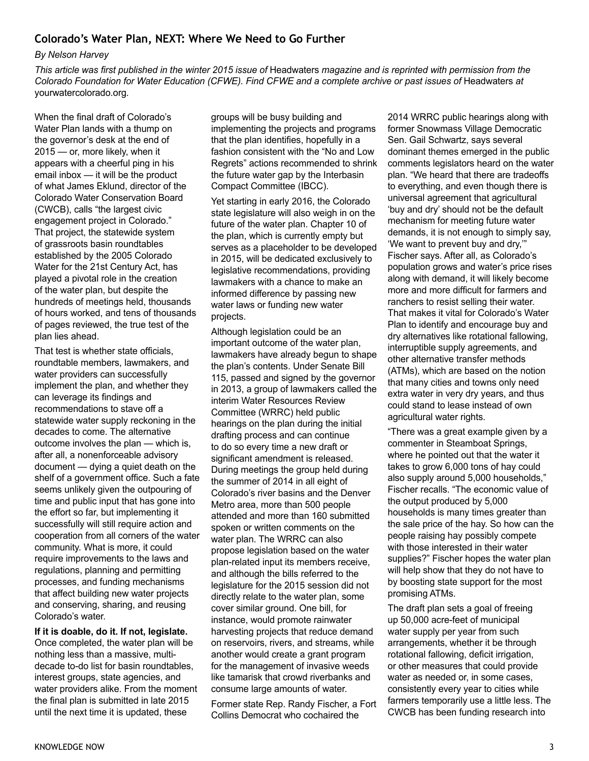## **Colorado's Water Plan, NEXT: Where We Need to Go Further**

### *By Nelson Harvey*

*This article was first published in the winter 2015 issue of* Headwaters *magazine and is reprinted with permission from the Colorado Foundation for Water Education (CFWE). Find CFWE and a complete archive or past issues of* Headwaters *at*  yourwatercolorado.org*.* 

When the final draft of Colorado's Water Plan lands with a thump on the governor's desk at the end of 2015 — or, more likely, when it appears with a cheerful ping in his email inbox — it will be the product of what James Eklund, director of the Colorado Water Conservation Board (CWCB), calls "the largest civic engagement project in Colorado." That project, the statewide system of grassroots basin roundtables established by the 2005 Colorado Water for the 21st Century Act, has played a pivotal role in the creation of the water plan, but despite the hundreds of meetings held, thousands of hours worked, and tens of thousands of pages reviewed, the true test of the plan lies ahead.

That test is whether state officials, roundtable members, lawmakers, and water providers can successfully implement the plan, and whether they can leverage its findings and recommendations to stave off a statewide water supply reckoning in the decades to come. The alternative outcome involves the plan — which is, after all, a nonenforceable advisory document — dying a quiet death on the shelf of a government office. Such a fate seems unlikely given the outpouring of time and public input that has gone into the effort so far, but implementing it successfully will still require action and cooperation from all corners of the water community. What is more, it could require improvements to the laws and regulations, planning and permitting processes, and funding mechanisms that affect building new water projects and conserving, sharing, and reusing Colorado's water.

**If it is doable, do it. If not, legislate.** Once completed, the water plan will be nothing less than a massive, multidecade to-do list for basin roundtables, interest groups, state agencies, and water providers alike. From the moment the final plan is submitted in late 2015 until the next time it is updated, these

groups will be busy building and implementing the projects and programs that the plan identifies, hopefully in a fashion consistent with the "No and Low Regrets" actions recommended to shrink the future water gap by the Interbasin Compact Committee (IBCC).

Yet starting in early 2016, the Colorado state legislature will also weigh in on the future of the water plan. Chapter 10 of the plan, which is currently empty but serves as a placeholder to be developed in 2015, will be dedicated exclusively to legislative recommendations, providing lawmakers with a chance to make an informed difference by passing new water laws or funding new water projects.

Although legislation could be an important outcome of the water plan, lawmakers have already begun to shape the plan's contents. Under Senate Bill 115, passed and signed by the governor in 2013, a group of lawmakers called the interim Water Resources Review Committee (WRRC) held public hearings on the plan during the initial drafting process and can continue to do so every time a new draft or significant amendment is released. During meetings the group held during the summer of 2014 in all eight of Colorado's river basins and the Denver Metro area, more than 500 people attended and more than 160 submitted spoken or written comments on the water plan. The WRRC can also propose legislation based on the water plan-related input its members receive, and although the bills referred to the legislature for the 2015 session did not directly relate to the water plan, some cover similar ground. One bill, for instance, would promote rainwater harvesting projects that reduce demand on reservoirs, rivers, and streams, while another would create a grant program for the management of invasive weeds like tamarisk that crowd riverbanks and consume large amounts of water.

Former state Rep. Randy Fischer, a Fort Collins Democrat who cochaired the

2014 WRRC public hearings along with former Snowmass Village Democratic Sen. Gail Schwartz, says several dominant themes emerged in the public comments legislators heard on the water plan. "We heard that there are tradeoffs to everything, and even though there is universal agreement that agricultural 'buy and dry' should not be the default mechanism for meeting future water demands, it is not enough to simply say, 'We want to prevent buy and dry,'" Fischer says. After all, as Colorado's population grows and water's price rises along with demand, it will likely become more and more difficult for farmers and ranchers to resist selling their water. That makes it vital for Colorado's Water Plan to identify and encourage buy and dry alternatives like rotational fallowing, interruptible supply agreements, and other alternative transfer methods (ATMs), which are based on the notion that many cities and towns only need extra water in very dry years, and thus could stand to lease instead of own agricultural water rights.

"There was a great example given by a commenter in Steamboat Springs, where he pointed out that the water it takes to grow 6,000 tons of hay could also supply around 5,000 households," Fischer recalls. "The economic value of the output produced by 5,000 households is many times greater than the sale price of the hay. So how can the people raising hay possibly compete with those interested in their water supplies?" Fischer hopes the water plan will help show that they do not have to by boosting state support for the most promising ATMs.

The draft plan sets a goal of freeing up 50,000 acre-feet of municipal water supply per year from such arrangements, whether it be through rotational fallowing, deficit irrigation, or other measures that could provide water as needed or, in some cases, consistently every year to cities while farmers temporarily use a little less. The CWCB has been funding research into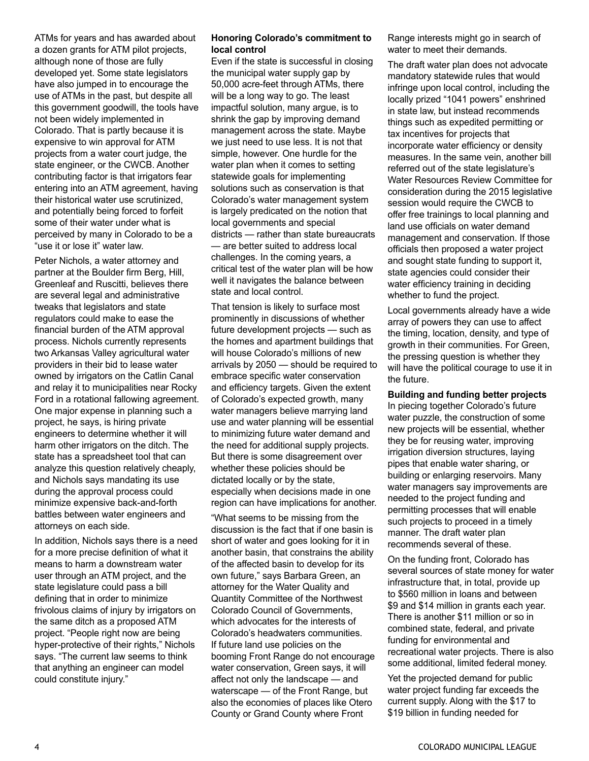ATMs for years and has awarded about a dozen grants for ATM pilot projects, although none of those are fully developed yet. Some state legislators have also jumped in to encourage the use of ATMs in the past, but despite all this government goodwill, the tools have not been widely implemented in Colorado. That is partly because it is expensive to win approval for ATM projects from a water court judge, the state engineer, or the CWCB. Another contributing factor is that irrigators fear entering into an ATM agreement, having their historical water use scrutinized, and potentially being forced to forfeit some of their water under what is perceived by many in Colorado to be a "use it or lose it" water law.

Peter Nichols, a water attorney and partner at the Boulder firm Berg, Hill, Greenleaf and Ruscitti, believes there are several legal and administrative tweaks that legislators and state regulators could make to ease the financial burden of the ATM approval process. Nichols currently represents two Arkansas Valley agricultural water providers in their bid to lease water owned by irrigators on the Catlin Canal and relay it to municipalities near Rocky Ford in a rotational fallowing agreement. One major expense in planning such a project, he says, is hiring private engineers to determine whether it will harm other irrigators on the ditch. The state has a spreadsheet tool that can analyze this question relatively cheaply, and Nichols says mandating its use during the approval process could minimize expensive back-and-forth battles between water engineers and attorneys on each side.

In addition, Nichols says there is a need for a more precise definition of what it means to harm a downstream water user through an ATM project, and the state legislature could pass a bill defining that in order to minimize frivolous claims of injury by irrigators on the same ditch as a proposed ATM project. "People right now are being hyper-protective of their rights," Nichols says. "The current law seems to think that anything an engineer can model could constitute injury."

### **Honoring Colorado's commitment to local control**

Even if the state is successful in closing the municipal water supply gap by 50,000 acre-feet through ATMs, there will be a long way to go. The least impactful solution, many argue, is to shrink the gap by improving demand management across the state. Maybe we just need to use less. It is not that simple, however. One hurdle for the water plan when it comes to setting statewide goals for implementing solutions such as conservation is that Colorado's water management system is largely predicated on the notion that local governments and special districts — rather than state bureaucrats — are better suited to address local challenges. In the coming years, a critical test of the water plan will be how well it navigates the balance between state and local control.

That tension is likely to surface most prominently in discussions of whether future development projects — such as the homes and apartment buildings that will house Colorado's millions of new arrivals by 2050 — should be required to embrace specific water conservation and efficiency targets. Given the extent of Colorado's expected growth, many water managers believe marrying land use and water planning will be essential to minimizing future water demand and the need for additional supply projects. But there is some disagreement over whether these policies should be dictated locally or by the state, especially when decisions made in one region can have implications for another.

"What seems to be missing from the discussion is the fact that if one basin is short of water and goes looking for it in another basin, that constrains the ability of the affected basin to develop for its own future," says Barbara Green, an attorney for the Water Quality and Quantity Committee of the Northwest Colorado Council of Governments, which advocates for the interests of Colorado's headwaters communities. If future land use policies on the booming Front Range do not encourage water conservation, Green says, it will affect not only the landscape — and waterscape — of the Front Range, but also the economies of places like Otero County or Grand County where Front

Range interests might go in search of water to meet their demands.

The draft water plan does not advocate mandatory statewide rules that would infringe upon local control, including the locally prized "1041 powers" enshrined in state law, but instead recommends things such as expedited permitting or tax incentives for projects that incorporate water efficiency or density measures. In the same vein, another bill referred out of the state legislature's Water Resources Review Committee for consideration during the 2015 legislative session would require the CWCB to offer free trainings to local planning and land use officials on water demand management and conservation. If those officials then proposed a water project and sought state funding to support it, state agencies could consider their water efficiency training in deciding whether to fund the project.

Local governments already have a wide array of powers they can use to affect the timing, location, density, and type of growth in their communities. For Green, the pressing question is whether they will have the political courage to use it in the future.

**Building and funding better projects** In piecing together Colorado's future water puzzle, the construction of some new projects will be essential, whether they be for reusing water, improving irrigation diversion structures, laying pipes that enable water sharing, or building or enlarging reservoirs. Many water managers say improvements are needed to the project funding and permitting processes that will enable such projects to proceed in a timely manner. The draft water plan recommends several of these.

On the funding front, Colorado has several sources of state money for water infrastructure that, in total, provide up to \$560 million in loans and between \$9 and \$14 million in grants each year. There is another \$11 million or so in combined state, federal, and private funding for environmental and recreational water projects. There is also some additional, limited federal money.

Yet the projected demand for public water project funding far exceeds the current supply. Along with the \$17 to \$19 billion in funding needed for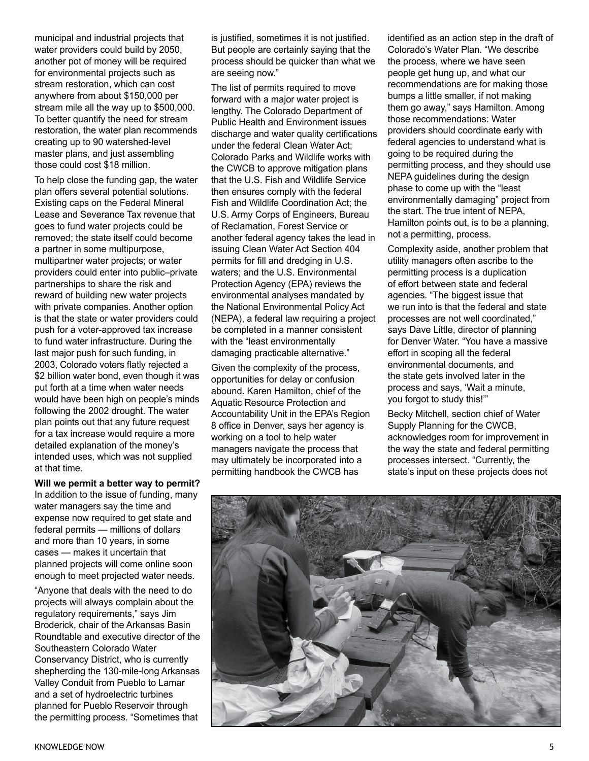municipal and industrial projects that water providers could build by 2050, another pot of money will be required for environmental projects such as stream restoration, which can cost anywhere from about \$150,000 per stream mile all the way up to \$500,000. To better quantify the need for stream restoration, the water plan recommends creating up to 90 watershed-level master plans, and just assembling those could cost \$18 million.

To help close the funding gap, the water plan offers several potential solutions. Existing caps on the Federal Mineral Lease and Severance Tax revenue that goes to fund water projects could be removed; the state itself could become a partner in some multipurpose, multipartner water projects; or water providers could enter into public–private partnerships to share the risk and reward of building new water projects with private companies. Another option is that the state or water providers could push for a voter-approved tax increase to fund water infrastructure. During the last major push for such funding, in 2003, Colorado voters flatly rejected a \$2 billion water bond, even though it was put forth at a time when water needs would have been high on people's minds following the 2002 drought. The water plan points out that any future request for a tax increase would require a more detailed explanation of the money's intended uses, which was not supplied at that time.

### **Will we permit a better way to permit?**

In addition to the issue of funding, many water managers say the time and expense now required to get state and federal permits — millions of dollars and more than 10 years, in some cases — makes it uncertain that planned projects will come online soon enough to meet projected water needs.

"Anyone that deals with the need to do projects will always complain about the regulatory requirements," says Jim Broderick, chair of the Arkansas Basin Roundtable and executive director of the Southeastern Colorado Water Conservancy District, who is currently shepherding the 130-mile-long Arkansas Valley Conduit from Pueblo to Lamar and a set of hydroelectric turbines planned for Pueblo Reservoir through the permitting process. "Sometimes that

is justified, sometimes it is not justified. But people are certainly saying that the process should be quicker than what we are seeing now."

The list of permits required to move forward with a major water project is lengthy. The Colorado Department of Public Health and Environment issues discharge and water quality certifications under the federal Clean Water Act; Colorado Parks and Wildlife works with the CWCB to approve mitigation plans that the U.S. Fish and Wildlife Service then ensures comply with the federal Fish and Wildlife Coordination Act; the U.S. Army Corps of Engineers, Bureau of Reclamation, Forest Service or another federal agency takes the lead in issuing Clean Water Act Section 404 permits for fill and dredging in U.S. waters; and the U.S. Environmental Protection Agency (EPA) reviews the environmental analyses mandated by the National Environmental Policy Act (NEPA), a federal law requiring a project be completed in a manner consistent with the "least environmentally damaging practicable alternative."

Given the complexity of the process, opportunities for delay or confusion abound. Karen Hamilton, chief of the Aquatic Resource Protection and Accountability Unit in the EPA's Region 8 office in Denver, says her agency is working on a tool to help water managers navigate the process that may ultimately be incorporated into a permitting handbook the CWCB has

identified as an action step in the draft of Colorado's Water Plan. "We describe the process, where we have seen people get hung up, and what our recommendations are for making those bumps a little smaller, if not making them go away," says Hamilton. Among those recommendations: Water providers should coordinate early with federal agencies to understand what is going to be required during the permitting process, and they should use NEPA guidelines during the design phase to come up with the "least environmentally damaging" project from the start. The true intent of NEPA, Hamilton points out, is to be a planning, not a permitting, process.

Complexity aside, another problem that utility managers often ascribe to the permitting process is a duplication of effort between state and federal agencies. "The biggest issue that we run into is that the federal and state processes are not well coordinated," says Dave Little, director of planning for Denver Water. "You have a massive effort in scoping all the federal environmental documents, and the state gets involved later in the process and says, 'Wait a minute, you forgot to study this!'"

Becky Mitchell, section chief of Water Supply Planning for the CWCB, acknowledges room for improvement in the way the state and federal permitting processes intersect. "Currently, the state's input on these projects does not

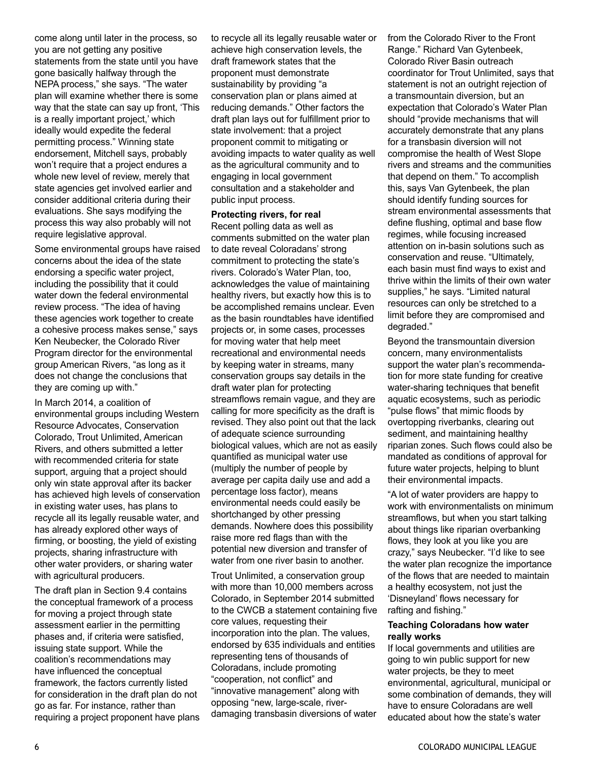come along until later in the process, so you are not getting any positive statements from the state until you have gone basically halfway through the NEPA process," she says. "The water plan will examine whether there is some way that the state can say up front, 'This is a really important project,' which ideally would expedite the federal permitting process." Winning state endorsement, Mitchell says, probably won't require that a project endures a whole new level of review, merely that state agencies get involved earlier and consider additional criteria during their evaluations. She says modifying the process this way also probably will not require legislative approval.

Some environmental groups have raised concerns about the idea of the state endorsing a specific water project, including the possibility that it could water down the federal environmental review process. "The idea of having these agencies work together to create a cohesive process makes sense," says Ken Neubecker, the Colorado River Program director for the environmental group American Rivers, "as long as it does not change the conclusions that they are coming up with."

In March 2014, a coalition of environmental groups including Western Resource Advocates, Conservation Colorado, Trout Unlimited, American Rivers, and others submitted a letter with recommended criteria for state support, arguing that a project should only win state approval after its backer has achieved high levels of conservation in existing water uses, has plans to recycle all its legally reusable water, and has already explored other ways of firming, or boosting, the yield of existing projects, sharing infrastructure with other water providers, or sharing water with agricultural producers.

The draft plan in Section 9.4 contains the conceptual framework of a process for moving a project through state assessment earlier in the permitting phases and, if criteria were satisfied, issuing state support. While the coalition's recommendations may have influenced the conceptual framework, the factors currently listed for consideration in the draft plan do not go as far. For instance, rather than requiring a project proponent have plans to recycle all its legally reusable water or achieve high conservation levels, the draft framework states that the proponent must demonstrate sustainability by providing "a conservation plan or plans aimed at reducing demands." Other factors the draft plan lays out for fulfillment prior to state involvement: that a project proponent commit to mitigating or avoiding impacts to water quality as well as the agricultural community and to engaging in local government consultation and a stakeholder and public input process.

### **Protecting rivers, for real**

Recent polling data as well as comments submitted on the water plan to date reveal Coloradans' strong commitment to protecting the state's rivers. Colorado's Water Plan, too, acknowledges the value of maintaining healthy rivers, but exactly how this is to be accomplished remains unclear. Even as the basin roundtables have identified projects or, in some cases, processes for moving water that help meet recreational and environmental needs by keeping water in streams, many conservation groups say details in the draft water plan for protecting streamflows remain vague, and they are calling for more specificity as the draft is revised. They also point out that the lack of adequate science surrounding biological values, which are not as easily quantified as municipal water use (multiply the number of people by average per capita daily use and add a percentage loss factor), means environmental needs could easily be shortchanged by other pressing demands. Nowhere does this possibility raise more red flags than with the potential new diversion and transfer of water from one river basin to another.

Trout Unlimited, a conservation group with more than 10,000 members across Colorado, in September 2014 submitted to the CWCB a statement containing five core values, requesting their incorporation into the plan. The values, endorsed by 635 individuals and entities representing tens of thousands of Coloradans, include promoting "cooperation, not conflict" and "innovative management" along with opposing "new, large-scale, riverdamaging transbasin diversions of water

from the Colorado River to the Front Range." Richard Van Gytenbeek, Colorado River Basin outreach coordinator for Trout Unlimited, says that statement is not an outright rejection of a transmountain diversion, but an expectation that Colorado's Water Plan should "provide mechanisms that will accurately demonstrate that any plans for a transbasin diversion will not compromise the health of West Slope rivers and streams and the communities that depend on them." To accomplish this, says Van Gytenbeek, the plan should identify funding sources for stream environmental assessments that define flushing, optimal and base flow regimes, while focusing increased attention on in-basin solutions such as conservation and reuse. "Ultimately, each basin must find ways to exist and thrive within the limits of their own water supplies," he says. "Limited natural resources can only be stretched to a limit before they are compromised and degraded."

Beyond the transmountain diversion concern, many environmentalists support the water plan's recommendation for more state funding for creative water-sharing techniques that benefit aquatic ecosystems, such as periodic "pulse flows" that mimic floods by overtopping riverbanks, clearing out sediment, and maintaining healthy riparian zones. Such flows could also be mandated as conditions of approval for future water projects, helping to blunt their environmental impacts.

"A lot of water providers are happy to work with environmentalists on minimum streamflows, but when you start talking about things like riparian overbanking flows, they look at you like you are crazy," says Neubecker. "I'd like to see the water plan recognize the importance of the flows that are needed to maintain a healthy ecosystem, not just the 'Disneyland' flows necessary for rafting and fishing."

### **Teaching Coloradans how water really works**

If local governments and utilities are going to win public support for new water projects, be they to meet environmental, agricultural, municipal or some combination of demands, they will have to ensure Coloradans are well educated about how the state's water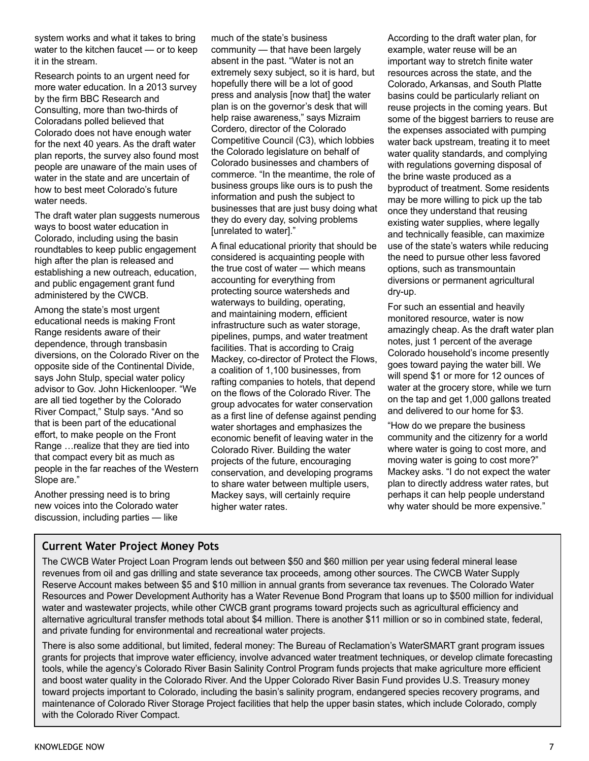system works and what it takes to bring water to the kitchen faucet — or to keep it in the stream.

Research points to an urgent need for more water education. In a 2013 survey by the firm BBC Research and Consulting, more than two-thirds of Coloradans polled believed that Colorado does not have enough water for the next 40 years. As the draft water plan reports, the survey also found most people are unaware of the main uses of water in the state and are uncertain of how to best meet Colorado's future water needs.

The draft water plan suggests numerous ways to boost water education in Colorado, including using the basin roundtables to keep public engagement high after the plan is released and establishing a new outreach, education, and public engagement grant fund administered by the CWCB.

Among the state's most urgent educational needs is making Front Range residents aware of their dependence, through transbasin diversions, on the Colorado River on the opposite side of the Continental Divide, says John Stulp, special water policy advisor to Gov. John Hickenlooper. "We are all tied together by the Colorado River Compact," Stulp says. "And so that is been part of the educational effort, to make people on the Front Range …realize that they are tied into that compact every bit as much as people in the far reaches of the Western Slope are."

Another pressing need is to bring new voices into the Colorado water discussion, including parties — like

much of the state's business community — that have been largely absent in the past. "Water is not an extremely sexy subject, so it is hard, but hopefully there will be a lot of good press and analysis [now that] the water plan is on the governor's desk that will help raise awareness," says Mizraim Cordero, director of the Colorado Competitive Council (C3), which lobbies the Colorado legislature on behalf of Colorado businesses and chambers of commerce. "In the meantime, the role of business groups like ours is to push the information and push the subject to businesses that are just busy doing what they do every day, solving problems [unrelated to water]."

A final educational priority that should be considered is acquainting people with the true cost of water — which means accounting for everything from protecting source watersheds and waterways to building, operating, and maintaining modern, efficient infrastructure such as water storage, pipelines, pumps, and water treatment facilities. That is according to Craig Mackey, co-director of Protect the Flows, a coalition of 1,100 businesses, from rafting companies to hotels, that depend on the flows of the Colorado River. The group advocates for water conservation as a first line of defense against pending water shortages and emphasizes the economic benefit of leaving water in the Colorado River. Building the water projects of the future, encouraging conservation, and developing programs to share water between multiple users, Mackey says, will certainly require higher water rates.

According to the draft water plan, for example, water reuse will be an important way to stretch finite water resources across the state, and the Colorado, Arkansas, and South Platte basins could be particularly reliant on reuse projects in the coming years. But some of the biggest barriers to reuse are the expenses associated with pumping water back upstream, treating it to meet water quality standards, and complying with regulations governing disposal of the brine waste produced as a byproduct of treatment. Some residents may be more willing to pick up the tab once they understand that reusing existing water supplies, where legally and technically feasible, can maximize use of the state's waters while reducing the need to pursue other less favored options, such as transmountain diversions or permanent agricultural dry-up.

For such an essential and heavily monitored resource, water is now amazingly cheap. As the draft water plan notes, just 1 percent of the average Colorado household's income presently goes toward paying the water bill. We will spend \$1 or more for 12 ounces of water at the grocery store, while we turn on the tap and get 1,000 gallons treated and delivered to our home for \$3.

"How do we prepare the business community and the citizenry for a world where water is going to cost more, and moving water is going to cost more?" Mackey asks. "I do not expect the water plan to directly address water rates, but perhaps it can help people understand why water should be more expensive."

## **Current Water Project Money Pots**

The CWCB Water Project Loan Program lends out between \$50 and \$60 million per year using federal mineral lease revenues from oil and gas drilling and state severance tax proceeds, among other sources. The CWCB Water Supply Reserve Account makes between \$5 and \$10 million in annual grants from severance tax revenues. The Colorado Water Resources and Power Development Authority has a Water Revenue Bond Program that loans up to \$500 million for individual water and wastewater projects, while other CWCB grant programs toward projects such as agricultural efficiency and alternative agricultural transfer methods total about \$4 million. There is another \$11 million or so in combined state, federal, and private funding for environmental and recreational water projects.

There is also some additional, but limited, federal money: The Bureau of Reclamation's WaterSMART grant program issues grants for projects that improve water efficiency, involve advanced water treatment techniques, or develop climate forecasting tools, while the agency's Colorado River Basin Salinity Control Program funds projects that make agriculture more efficient and boost water quality in the Colorado River. And the Upper Colorado River Basin Fund provides U.S. Treasury money toward projects important to Colorado, including the basin's salinity program, endangered species recovery programs, and maintenance of Colorado River Storage Project facilities that help the upper basin states, which include Colorado, comply with the Colorado River Compact.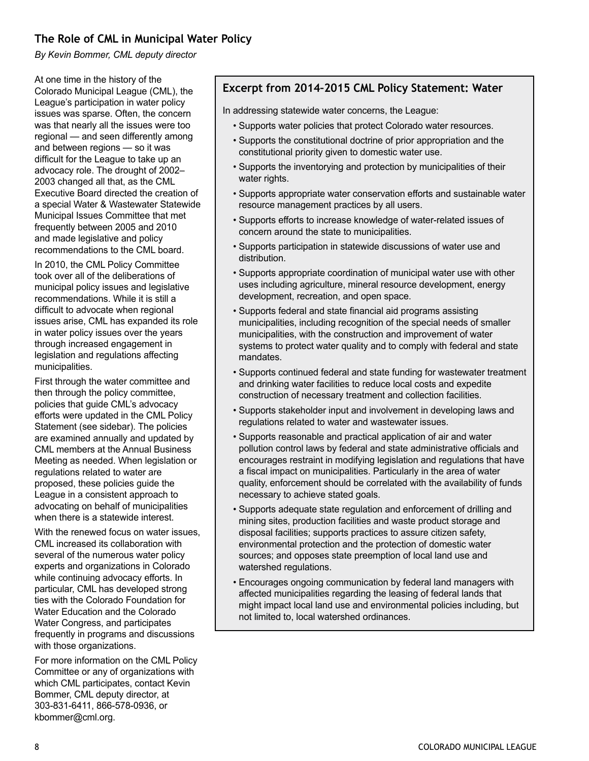## **The Role of CML in Municipal Water Policy**

*By Kevin Bommer, CML deputy director*

At one time in the history of the Colorado Municipal League (CML), the League's participation in water policy issues was sparse. Often, the concern was that nearly all the issues were too regional — and seen differently among and between regions — so it was difficult for the League to take up an advocacy role. The drought of 2002– 2003 changed all that, as the CML Executive Board directed the creation of a special Water & Wastewater Statewide Municipal Issues Committee that met frequently between 2005 and 2010 and made legislative and policy recommendations to the CML board.

In 2010, the CML Policy Committee took over all of the deliberations of municipal policy issues and legislative recommendations. While it is still a difficult to advocate when regional issues arise, CML has expanded its role in water policy issues over the years through increased engagement in legislation and regulations affecting municipalities.

First through the water committee and then through the policy committee, policies that guide CML's advocacy efforts were updated in the CML Policy Statement (see sidebar). The policies are examined annually and updated by CML members at the Annual Business Meeting as needed. When legislation or regulations related to water are proposed, these policies guide the League in a consistent approach to advocating on behalf of municipalities when there is a statewide interest.

With the renewed focus on water issues. CML increased its collaboration with several of the numerous water policy experts and organizations in Colorado while continuing advocacy efforts. In particular, CML has developed strong ties with the Colorado Foundation for Water Education and the Colorado Water Congress, and participates frequently in programs and discussions with those organizations.

For more information on the CML Policy Committee or any of organizations with which CML participates, contact Kevin Bommer, CML deputy director, at 303-831-6411, 866-578-0936, or kbommer@cml.org.

## **Excerpt from 2014–2015 CML Policy Statement: Water**

In addressing statewide water concerns, the League:

- Supports water policies that protect Colorado water resources.
- Supports the constitutional doctrine of prior appropriation and the constitutional priority given to domestic water use.
- Supports the inventorying and protection by municipalities of their water rights.
- Supports appropriate water conservation efforts and sustainable water resource management practices by all users.
- Supports efforts to increase knowledge of water-related issues of concern around the state to municipalities.
- Supports participation in statewide discussions of water use and distribution.
- Supports appropriate coordination of municipal water use with other uses including agriculture, mineral resource development, energy development, recreation, and open space.
- Supports federal and state financial aid programs assisting municipalities, including recognition of the special needs of smaller municipalities, with the construction and improvement of water systems to protect water quality and to comply with federal and state mandates.
- Supports continued federal and state funding for wastewater treatment and drinking water facilities to reduce local costs and expedite construction of necessary treatment and collection facilities.
- Supports stakeholder input and involvement in developing laws and regulations related to water and wastewater issues.
- Supports reasonable and practical application of air and water pollution control laws by federal and state administrative officials and encourages restraint in modifying legislation and regulations that have a fiscal impact on municipalities. Particularly in the area of water quality, enforcement should be correlated with the availability of funds necessary to achieve stated goals.
- Supports adequate state regulation and enforcement of drilling and mining sites, production facilities and waste product storage and disposal facilities; supports practices to assure citizen safety, environmental protection and the protection of domestic water sources; and opposes state preemption of local land use and watershed regulations.
- Encourages ongoing communication by federal land managers with affected municipalities regarding the leasing of federal lands that might impact local land use and environmental policies including, but not limited to, local watershed ordinances.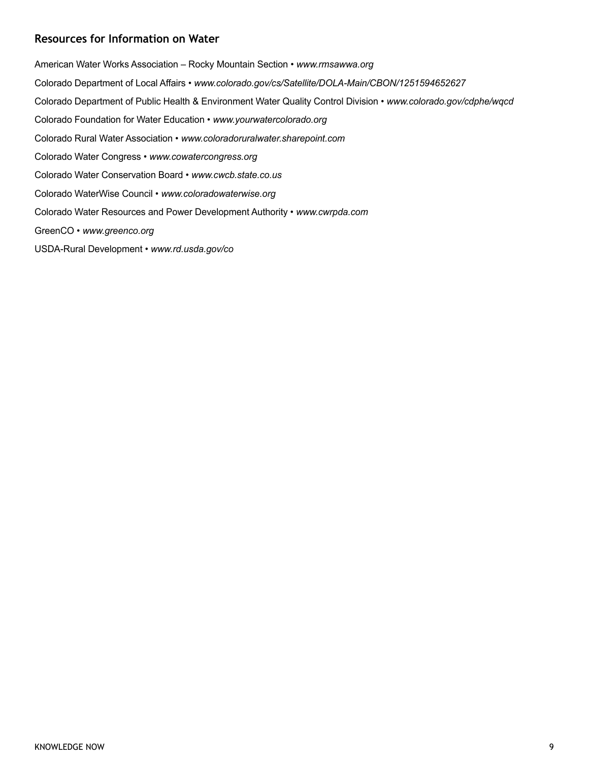## **Resources for Information on Water**

American Water Works Association – Rocky Mountain Section • *www.rmsawwa.org* Colorado Department of Local Affairs • *www.colorado.gov/cs/Satellite/DOLA-Main/CBON/1251594652627*  Colorado Department of Public Health & Environment Water Quality Control Division • *www.colorado.gov/cdphe/wqcd*  Colorado Foundation for Water Education • *www.yourwatercolorado.org*  Colorado Rural Water Association • *www.coloradoruralwater.sharepoint.com*  Colorado Water Congress • *www.cowatercongress.org*  Colorado Water Conservation Board • *www.cwcb.state.co.us*  Colorado WaterWise Council • *www.coloradowaterwise.org*  Colorado Water Resources and Power Development Authority • *www.cwrpda.com* GreenCO • *www.greenco.org*

USDA-Rural Development • *www.rd.usda.gov/co*